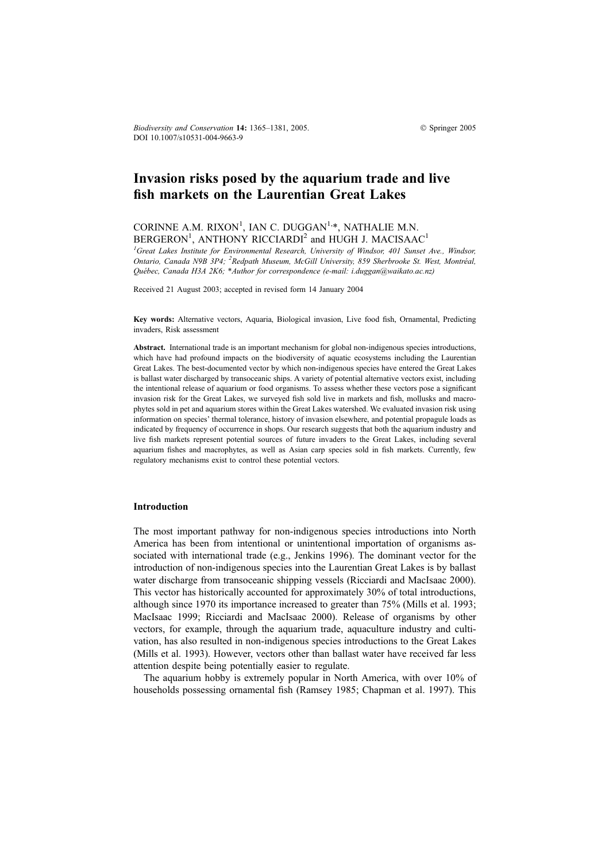Biodiversity and Conservation 14: 1365–1381, 2005.  $\bullet$  Springer 2005 DOI 10.1007/s10531-004-9663-9

# Invasion risks posed by the aquarium trade and live fish markets on the Laurentian Great Lakes

# CORINNE A.M. RIXON<sup>1</sup>, IAN C. DUGGAN<sup>1,\*</sup>, NATHALIE M.N. BERGERON<sup>1</sup>, ANTHONY RICCIARDI<sup>2</sup> and HUGH J. MACISAAC<sup>1</sup>

<sup>1</sup>Great Lakes Institute for Environmental Research, University of Windsor, 401 Sunset Ave., Windsor, Ontario, Canada N9B 3P4; <sup>2</sup>Redpath Museum, McGill University, 859 Sherbrooke St. West, Montréal, Québec, Canada H3A 2K6; \*Author for correspondence (e-mail: i.duggan@waikato.ac.nz)

Received 21 August 2003; accepted in revised form 14 January 2004

Key words: Alternative vectors, Aquaria, Biological invasion, Live food fish, Ornamental, Predicting invaders, Risk assessment

Abstract. International trade is an important mechanism for global non-indigenous species introductions, which have had profound impacts on the biodiversity of aquatic ecosystems including the Laurentian Great Lakes. The best-documented vector by which non-indigenous species have entered the Great Lakes is ballast water discharged by transoceanic ships. A variety of potential alternative vectors exist, including the intentional release of aquarium or food organisms. To assess whether these vectors pose a significant invasion risk for the Great Lakes, we surveyed fish sold live in markets and fish, mollusks and macrophytes sold in pet and aquarium stores within the Great Lakes watershed. We evaluated invasion risk using information on species' thermal tolerance, history of invasion elsewhere, and potential propagule loads as indicated by frequency of occurrence in shops. Our research suggests that both the aquarium industry and live fish markets represent potential sources of future invaders to the Great Lakes, including several aquarium fishes and macrophytes, as well as Asian carp species sold in fish markets. Currently, few regulatory mechanisms exist to control these potential vectors.

#### Introduction

The most important pathway for non-indigenous species introductions into North America has been from intentional or unintentional importation of organisms associated with international trade (e.g., Jenkins 1996). The dominant vector for the introduction of non-indigenous species into the Laurentian Great Lakes is by ballast water discharge from transoceanic shipping vessels (Ricciardi and MacIsaac 2000). This vector has historically accounted for approximately 30% of total introductions, although since 1970 its importance increased to greater than 75% (Mills et al. 1993; MacIsaac 1999; Ricciardi and MacIsaac 2000). Release of organisms by other vectors, for example, through the aquarium trade, aquaculture industry and cultivation, has also resulted in non-indigenous species introductions to the Great Lakes (Mills et al. 1993). However, vectors other than ballast water have received far less attention despite being potentially easier to regulate.

The aquarium hobby is extremely popular in North America, with over 10% of households possessing ornamental fish (Ramsey 1985; Chapman et al. 1997). This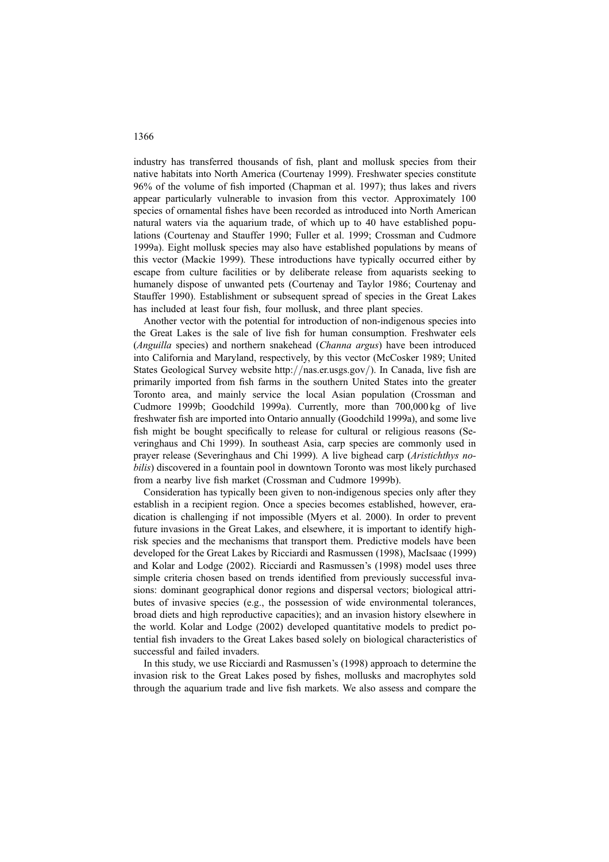industry has transferred thousands of fish, plant and mollusk species from their native habitats into North America (Courtenay 1999). Freshwater species constitute 96% of the volume of fish imported (Chapman et al. 1997); thus lakes and rivers appear particularly vulnerable to invasion from this vector. Approximately 100 species of ornamental fishes have been recorded as introduced into North American natural waters via the aquarium trade, of which up to 40 have established populations (Courtenay and Stauffer 1990; Fuller et al. 1999; Crossman and Cudmore 1999a). Eight mollusk species may also have established populations by means of this vector (Mackie 1999). These introductions have typically occurred either by escape from culture facilities or by deliberate release from aquarists seeking to humanely dispose of unwanted pets (Courtenay and Taylor 1986; Courtenay and Stauffer 1990). Establishment or subsequent spread of species in the Great Lakes has included at least four fish, four mollusk, and three plant species.

Another vector with the potential for introduction of non-indigenous species into the Great Lakes is the sale of live fish for human consumption. Freshwater eels (Anguilla species) and northern snakehead (Channa argus) have been introduced into California and Maryland, respectively, by this vector (McCosker 1989; United States Geological Survey website http://nas.er.usgs.gov/). In Canada, live fish are primarily imported from fish farms in the southern United States into the greater Toronto area, and mainly service the local Asian population (Crossman and Cudmore 1999b; Goodchild 1999a). Currently, more than 700,000 kg of live freshwater fish are imported into Ontario annually (Goodchild 1999a), and some live fish might be bought specifically to release for cultural or religious reasons (Severinghaus and Chi 1999). In southeast Asia, carp species are commonly used in prayer release (Severinghaus and Chi 1999). A live bighead carp (Aristichthys nobilis) discovered in a fountain pool in downtown Toronto was most likely purchased from a nearby live fish market (Crossman and Cudmore 1999b).

Consideration has typically been given to non-indigenous species only after they establish in a recipient region. Once a species becomes established, however, eradication is challenging if not impossible (Myers et al. 2000). In order to prevent future invasions in the Great Lakes, and elsewhere, it is important to identify highrisk species and the mechanisms that transport them. Predictive models have been developed for the Great Lakes by Ricciardi and Rasmussen (1998), MacIsaac (1999) and Kolar and Lodge (2002). Ricciardi and Rasmussen's (1998) model uses three simple criteria chosen based on trends identified from previously successful invasions: dominant geographical donor regions and dispersal vectors; biological attributes of invasive species (e.g., the possession of wide environmental tolerances, broad diets and high reproductive capacities); and an invasion history elsewhere in the world. Kolar and Lodge (2002) developed quantitative models to predict potential fish invaders to the Great Lakes based solely on biological characteristics of successful and failed invaders.

In this study, we use Ricciardi and Rasmussen's (1998) approach to determine the invasion risk to the Great Lakes posed by fishes, mollusks and macrophytes sold through the aquarium trade and live fish markets. We also assess and compare the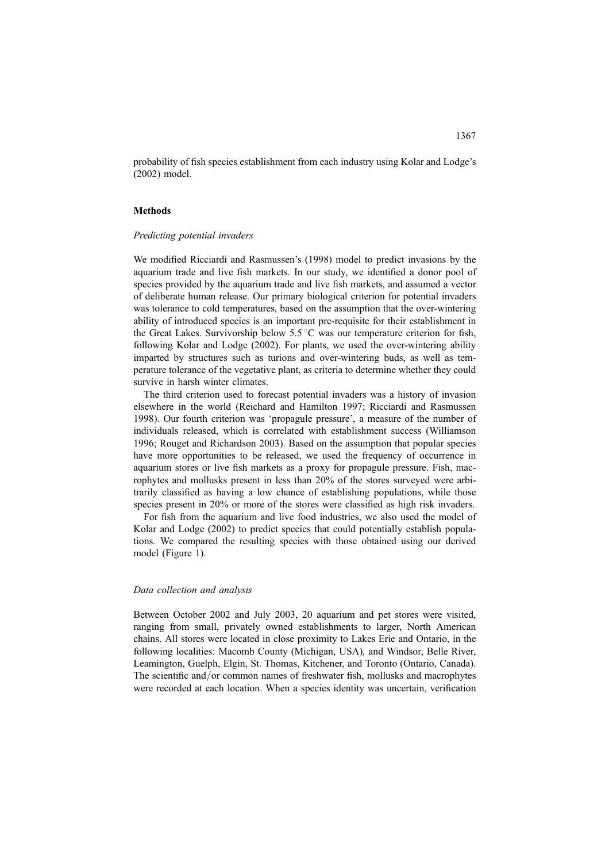probability of fish species establishment from each industry using Kolar and Lodge's (2002) model.

# **Methods**

# Predicting potential invaders

We modified Ricciardi and Rasmussen's (1998) model to predict invasions by the aquarium trade and live fish markets. In our study, we identified a donor pool of species provided by the aquarium trade and live fish markets, and assumed a vector of deliberate human release. Our primary biological criterion for potential invaders was tolerance to cold temperatures, based on the assumption that the over-wintering ability of introduced species is an important pre-requisite for their establishment in the Great Lakes. Survivorship below 5.5 °C was our temperature criterion for fish, following Kolar and Lodge (2002). For plants, we used the over-wintering ability imparted by structures such as turions and over-wintering buds, as well as temperature tolerance of the vegetative plant, as criteria to determine whether they could survive in harsh winter climates.

The third criterion used to forecast potential invaders was a history of invasion elsewhere in the world (Reichard and Hamilton 1997; Ricciardi and Rasmussen 1998). Our fourth criterion was 'propagule pressure', a measure of the number of individuals released, which is correlated with establishment success (Williamson 1996; Rouget and Richardson 2003). Based on the assumption that popular species have more opportunities to be released, we used the frequency of occurrence in aquarium stores or live fish markets as a proxy for propagule pressure. Fish, macrophytes and mollusks present in less than 20% of the stores surveyed were arbitrarily classified as having a low chance of establishing populations, while those species present in 20% or more of the stores were classified as high risk invaders.

For fish from the aquarium and live food industries, we also used the model of Kolar and Lodge (2002) to predict species that could potentially establish populations. We compared the resulting species with those obtained using our derived model (Figure 1).

#### Data collection and analysis

Between October 2002 and July 2003, 20 aquarium and pet stores were visited, ranging from small, privately owned establishments to larger, North American chains. All stores were located in close proximity to Lakes Erie and Ontario, in the following localities: Macomb County (Michigan, USA), and Windsor, Belle River, Leamington, Guelph, Elgin, St. Thomas, Kitchener, and Toronto (Ontario, Canada). The scientific and/or common names of freshwater fish, mollusks and macrophytes were recorded at each location. When a species identity was uncertain, verification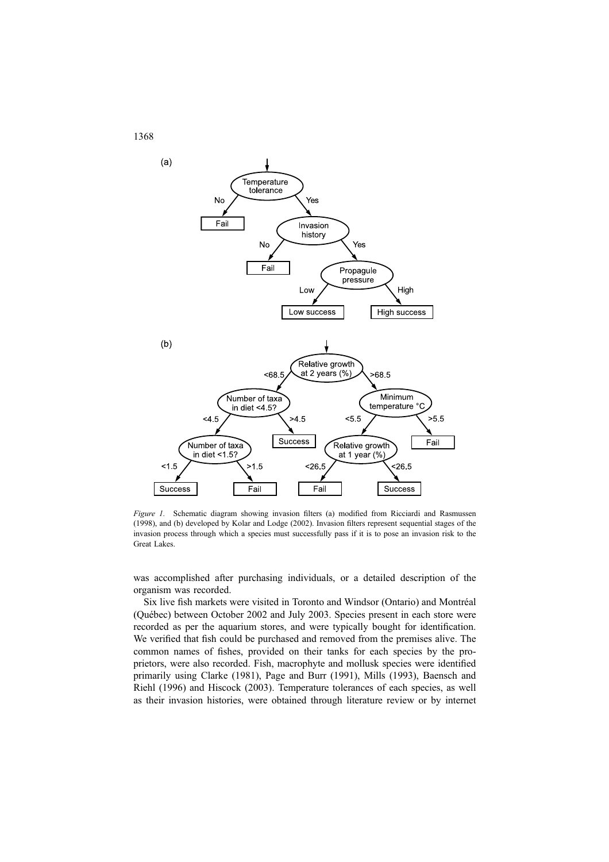

Figure 1. Schematic diagram showing invasion filters (a) modified from Ricciardi and Rasmussen (1998), and (b) developed by Kolar and Lodge (2002). Invasion filters represent sequential stages of the invasion process through which a species must successfully pass if it is to pose an invasion risk to the Great Lakes.

was accomplished after purchasing individuals, or a detailed description of the organism was recorded.

Six live fish markets were visited in Toronto and Windsor (Ontario) and Montréal (Que´bec) between October 2002 and July 2003. Species present in each store were recorded as per the aquarium stores, and were typically bought for identification. We verified that fish could be purchased and removed from the premises alive. The common names of fishes, provided on their tanks for each species by the proprietors, were also recorded. Fish, macrophyte and mollusk species were identified primarily using Clarke (1981), Page and Burr (1991), Mills (1993), Baensch and Riehl (1996) and Hiscock (2003). Temperature tolerances of each species, as well as their invasion histories, were obtained through literature review or by internet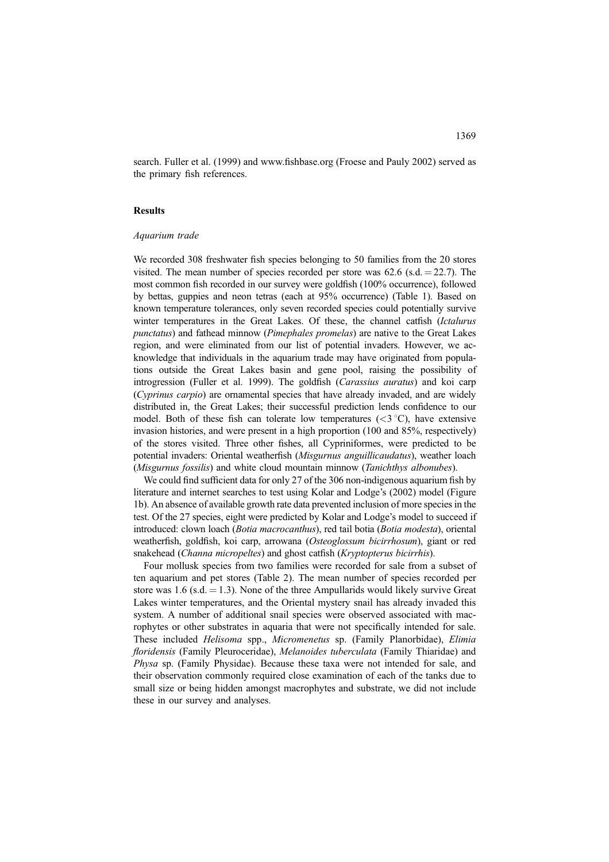search. Fuller et al. (1999) and www.fishbase.org (Froese and Pauly 2002) served as the primary fish references.

# Results

#### Aquarium trade

We recorded 308 freshwater fish species belonging to 50 families from the 20 stores visited. The mean number of species recorded per store was  $62.6$  (s.d.  $= 22.7$ ). The most common fish recorded in our survey were goldfish (100% occurrence), followed by bettas, guppies and neon tetras (each at 95% occurrence) (Table 1). Based on known temperature tolerances, only seven recorded species could potentially survive winter temperatures in the Great Lakes. Of these, the channel catfish (Ictalurus punctatus) and fathead minnow (Pimephales promelas) are native to the Great Lakes region, and were eliminated from our list of potential invaders. However, we acknowledge that individuals in the aquarium trade may have originated from populations outside the Great Lakes basin and gene pool, raising the possibility of introgression (Fuller et al. 1999). The goldfish (Carassius auratus) and koi carp (Cyprinus carpio) are ornamental species that have already invaded, and are widely distributed in, the Great Lakes; their successful prediction lends confidence to our model. Both of these fish can tolerate low temperatures  $(<3 °C)$ , have extensive invasion histories, and were present in a high proportion (100 and 85%, respectively) of the stores visited. Three other fishes, all Cypriniformes, were predicted to be potential invaders: Oriental weatherfish (Misgurnus anguillicaudatus), weather loach (*Misgurnus fossilis*) and white cloud mountain minnow (*Tanichthys albonubes*).

We could find sufficient data for only 27 of the 306 non-indigenous aquarium fish by literature and internet searches to test using Kolar and Lodge's (2002) model (Figure 1b). An absence of available growth rate data prevented inclusion of more species in the test. Of the 27 species, eight were predicted by Kolar and Lodge's model to succeed if introduced: clown loach (Botia macrocanthus), red tail botia (Botia modesta), oriental weatherfish, goldfish, koi carp, arrowana (Osteoglossum bicirrhosum), giant or red snakehead (Channa micropeltes) and ghost catfish (Kryptopterus bicirrhis).

Four mollusk species from two families were recorded for sale from a subset of ten aquarium and pet stores (Table 2). The mean number of species recorded per store was 1.6 (s.d.  $= 1.3$ ). None of the three Ampullarids would likely survive Great Lakes winter temperatures, and the Oriental mystery snail has already invaded this system. A number of additional snail species were observed associated with macrophytes or other substrates in aquaria that were not specifically intended for sale. These included Helisoma spp., Micromenetus sp. (Family Planorbidae), Elimia floridensis (Family Pleuroceridae), Melanoides tuberculata (Family Thiaridae) and Physa sp. (Family Physidae). Because these taxa were not intended for sale, and their observation commonly required close examination of each of the tanks due to small size or being hidden amongst macrophytes and substrate, we did not include these in our survey and analyses.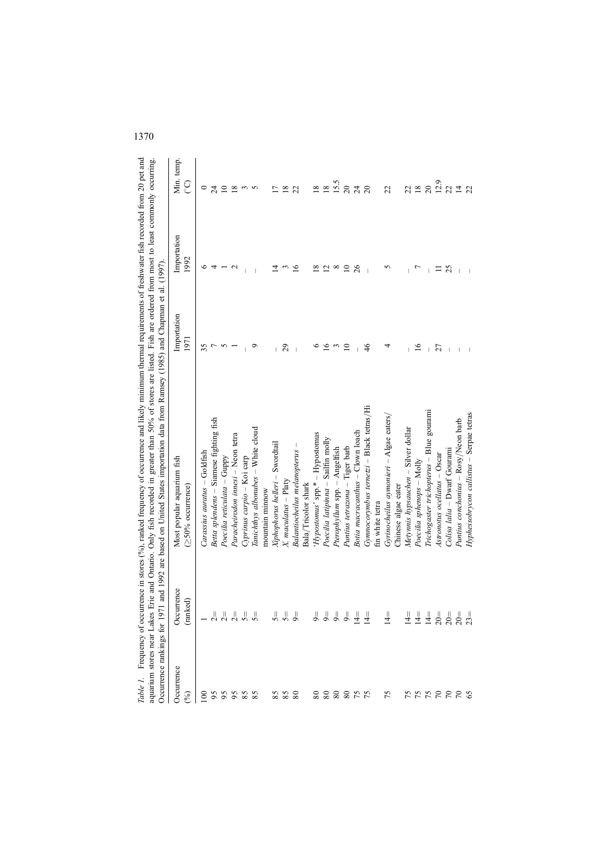| 0د ستي‡                                               |                                                                                       |                                                                    |
|-------------------------------------------------------|---------------------------------------------------------------------------------------|--------------------------------------------------------------------|
|                                                       |                                                                                       |                                                                    |
|                                                       |                                                                                       |                                                                    |
|                                                       |                                                                                       |                                                                    |
|                                                       |                                                                                       | ć                                                                  |
|                                                       |                                                                                       |                                                                    |
|                                                       |                                                                                       |                                                                    |
|                                                       |                                                                                       |                                                                    |
|                                                       |                                                                                       |                                                                    |
|                                                       |                                                                                       |                                                                    |
|                                                       |                                                                                       |                                                                    |
|                                                       |                                                                                       |                                                                    |
|                                                       |                                                                                       |                                                                    |
|                                                       |                                                                                       |                                                                    |
| sceurrence and like                                   | ad in greater than 50% of stores are listed. Fish are ordered from most to least com- | d on United States importation data from Ramsey (1985) and Chapma. |
|                                                       |                                                                                       |                                                                    |
|                                                       |                                                                                       |                                                                    |
|                                                       |                                                                                       |                                                                    |
|                                                       |                                                                                       |                                                                    |
|                                                       |                                                                                       |                                                                    |
|                                                       |                                                                                       |                                                                    |
|                                                       |                                                                                       |                                                                    |
| $\gamma$ courrence in stores $(\frac{9}{9})$ . ranged | tes Erie and Ontario. Only fish rec                                                   | 1971 and 1992 are based                                            |
|                                                       |                                                                                       |                                                                    |
|                                                       |                                                                                       | ţ                                                                  |
|                                                       |                                                                                       | į<br>ı                                                             |
|                                                       |                                                                                       |                                                                    |
|                                                       |                                                                                       |                                                                    |
| ł                                                     |                                                                                       |                                                                    |

| Occurrence                  |                                                                                                                                                                                                                                                                                                                                                                                                   | Most popular aquarium fish               | Importation     | Importation              | Min. temp.          |
|-----------------------------|---------------------------------------------------------------------------------------------------------------------------------------------------------------------------------------------------------------------------------------------------------------------------------------------------------------------------------------------------------------------------------------------------|------------------------------------------|-----------------|--------------------------|---------------------|
| $\mathcal{E}$               | Occurrence<br>(ranked)                                                                                                                                                                                                                                                                                                                                                                            | $(250%$ occurrence)                      | 1971            | 1992                     | ව                   |
|                             |                                                                                                                                                                                                                                                                                                                                                                                                   | $Carasius$ auratus $-Goldfish$           | 35              | ∘                        | $\circ$             |
|                             |                                                                                                                                                                                                                                                                                                                                                                                                   | Betta splendens - Siamese fighting fish  |                 | 4                        | 24                  |
|                             | $\frac{1}{2}$                                                                                                                                                                                                                                                                                                                                                                                     | Poecilia reticulata - Guppy              |                 |                          | $\overline{10}$     |
|                             |                                                                                                                                                                                                                                                                                                                                                                                                   | Paracheirodon innesi - Neon tetra        |                 | c                        | $\frac{8}{2}$       |
|                             |                                                                                                                                                                                                                                                                                                                                                                                                   | Cyprinus carpio - Koi carp               |                 |                          | $\epsilon$          |
|                             | $\begin{array}{c} \mathbf{1} \\ \mathbf{2} \\ \mathbf{3} \end{array}$                                                                                                                                                                                                                                                                                                                             | Tanichthys albonubes – White cloud       | o               |                          | $\sqrt{2}$          |
|                             |                                                                                                                                                                                                                                                                                                                                                                                                   | mountain minnow                          |                 |                          |                     |
|                             |                                                                                                                                                                                                                                                                                                                                                                                                   | Xiphophorus helleri - Swordtail          |                 |                          |                     |
|                             | $\frac{1}{2}$ $\frac{1}{2}$ $\frac{1}{2}$                                                                                                                                                                                                                                                                                                                                                         | $X$ . maculatus – Platy                  | 29              |                          | 18                  |
|                             |                                                                                                                                                                                                                                                                                                                                                                                                   | Balantiocheilus melanopterus -           |                 | 91                       | 22                  |
|                             |                                                                                                                                                                                                                                                                                                                                                                                                   | Bala/Tricolor shark                      |                 |                          |                     |
|                             |                                                                                                                                                                                                                                                                                                                                                                                                   | 'Hypostomus' spp.* - Hypostomus          |                 | ∞                        | $\infty$            |
|                             |                                                                                                                                                                                                                                                                                                                                                                                                   | Poecilia latipinna - Sailfin molly       | $\overline{16}$ | $\overline{\mathcal{C}}$ | $\overline{18}$     |
|                             |                                                                                                                                                                                                                                                                                                                                                                                                   | Pterophyllum spp. - Angelfish            | $\epsilon$      | $^{\circ}$               | 15.5                |
|                             |                                                                                                                                                                                                                                                                                                                                                                                                   | Puntius tetrazona - Tiger barb           | $\supseteq$     | $\supseteq$              | $20\,$              |
|                             |                                                                                                                                                                                                                                                                                                                                                                                                   | Botia macracanthus - Clown loach         |                 | 26                       | 24                  |
|                             |                                                                                                                                                                                                                                                                                                                                                                                                   | Gymnocorymbus ternetzi – Black tetras/Hi | 46              |                          | $\overline{c}$      |
|                             |                                                                                                                                                                                                                                                                                                                                                                                                   | fin white tetra                          |                 |                          |                     |
| 8888888 888 888866 6 666666 | IJ<br>$\vec{z}$                                                                                                                                                                                                                                                                                                                                                                                   | Gyrinocheilus aymonieri - Algae eaters/  | 4               | 5                        | 22                  |
|                             |                                                                                                                                                                                                                                                                                                                                                                                                   | Chinese algae eater                      |                 |                          |                     |
|                             |                                                                                                                                                                                                                                                                                                                                                                                                   | Metynnis hypsauchen - Silver dollar      |                 |                          | 22                  |
|                             |                                                                                                                                                                                                                                                                                                                                                                                                   | Poecilia sphenops – Molly                | $\overline{16}$ |                          | 18                  |
|                             |                                                                                                                                                                                                                                                                                                                                                                                                   | Trichogaster trichopterus - Blue gourami |                 |                          | $\overline{c}$      |
|                             |                                                                                                                                                                                                                                                                                                                                                                                                   | Astronotus ocellatus – Oscar             | 27              |                          | 12.9                |
|                             |                                                                                                                                                                                                                                                                                                                                                                                                   | Colisa lalia - Dwarf Gourami             |                 | 25                       | $22$ $\overline{4}$ |
|                             | $\begin{array}{c} \frac{1}{4} \frac{1}{4} \frac{1}{4} \frac{1}{4} \frac{1}{2} \frac{1}{2} \frac{1}{2} \frac{1}{2} \frac{1}{2} \frac{1}{2} \frac{1}{2} \frac{1}{2} \frac{1}{2} \frac{1}{2} \frac{1}{2} \frac{1}{2} \frac{1}{2} \frac{1}{2} \frac{1}{2} \frac{1}{2} \frac{1}{2} \frac{1}{2} \frac{1}{2} \frac{1}{2} \frac{1}{2} \frac{1}{2} \frac{1}{2} \frac{1}{2} \frac{1}{2} \frac{1}{2} \frac{$ | Puntius conchonius - Rosy/Neon barb      |                 |                          |                     |
|                             |                                                                                                                                                                                                                                                                                                                                                                                                   | Hyphessobrycon callistus - Serpae tetras |                 |                          | 22                  |
|                             |                                                                                                                                                                                                                                                                                                                                                                                                   |                                          |                 |                          |                     |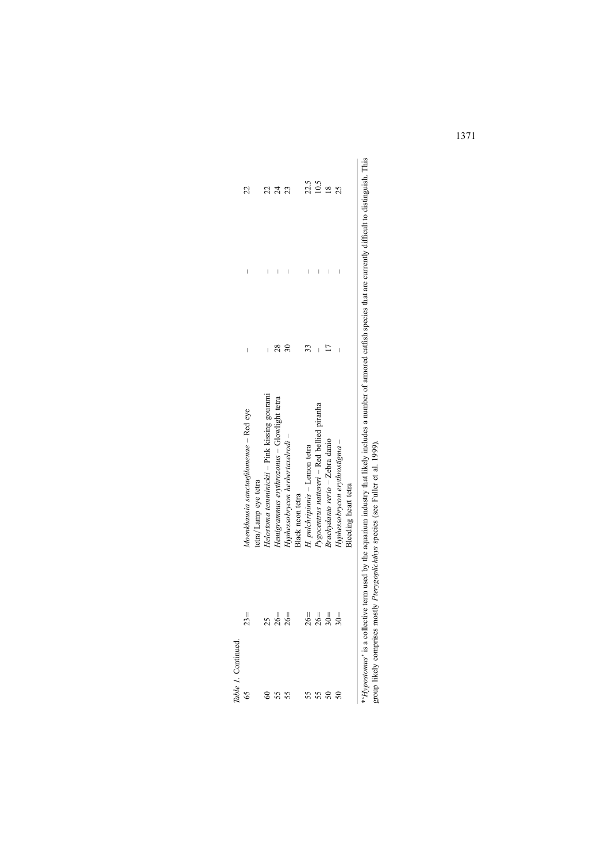| able 1. Continued          |        |                                                                                                                                                     |    |   |               |
|----------------------------|--------|-----------------------------------------------------------------------------------------------------------------------------------------------------|----|---|---------------|
|                            | $23 =$ | Moenkhausia sanctaefilomenae - Red eye<br>tetra/Lamp eye tetra                                                                                      | Ï  |   | 22            |
|                            |        | Helostoma temminickii - Pink kissing gourami                                                                                                        |    |   |               |
|                            | $26 =$ | Hemigrammus erythrozonus – Glowlight tetra                                                                                                          | 28 | I | 24            |
| 55                         | $26 =$ | Hyphessobrycon herbertaxelrodi -<br>Black neon tetra                                                                                                | S  |   | 23            |
|                            | $26 =$ | H. pulchripinnis - Lemon tetra                                                                                                                      |    | I | 22.5          |
| SS <sub>1</sub>            | $26 =$ | Pygocentrus nattereri - Red bellied piranha                                                                                                         | I  | I | 10.5          |
|                            | $30 =$ | Brachydanio rerio - Zebra danio                                                                                                                     |    |   | $\frac{8}{2}$ |
| ິຣ                         | $30 =$ | Hyphessobrycon erythrostigma -                                                                                                                      |    |   | 25            |
|                            |        | Bleeding heart tetra                                                                                                                                |    |   |               |
| <i>vnostomus</i> is a coll |        | ective term used by the acuarium industry that likely includes a number of armored catfish species that are currently difficult to distinguish. The |    |   |               |

 $\frac{1}{2}$ \*'Hypostomus' is a collective term used by the aquarium industry that likely includes a number of armored catfish species that are currently difficult to distinguish. This ត្ត<br>ក ⊃<br>∑ Б<br>Ск *\* Hypostomus*' is a collective term used by the aquarium industry that likely include group likely comprises mostly *Pterygoplichthys* species (see Fuller et al. 1999). group likely comprises mostly Pterygoplichthys species (see Fuller et al. 1999).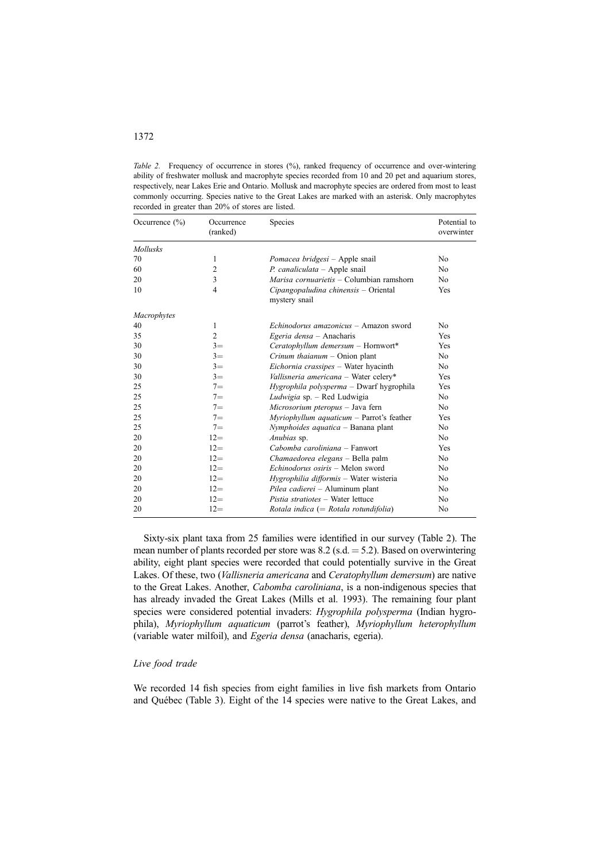Table 2. Frequency of occurrence in stores (%), ranked frequency of occurrence and over-wintering ability of freshwater mollusk and macrophyte species recorded from 10 and 20 pet and aquarium stores, respectively, near Lakes Erie and Ontario. Mollusk and macrophyte species are ordered from most to least commonly occurring. Species native to the Great Lakes are marked with an asterisk. Only macrophytes recorded in greater than 20% of stores are listed.

| Occurrence $(\% )$ | Occurrence<br>(ranked) | Species                                               | Potential to<br>overwinter |
|--------------------|------------------------|-------------------------------------------------------|----------------------------|
| <b>Mollusks</b>    |                        |                                                       |                            |
| 70                 | 1                      | Pomacea bridgesi – Apple snail                        | N <sub>0</sub>             |
| 60                 | $\overline{c}$         | $P.$ canaliculata – Apple snail                       | No.                        |
| 20                 | 3                      | Marisa cornuarietis – Columbian ramshorn              | N <sub>0</sub>             |
| 10                 | 4                      | Cipangopaludina chinensis – Oriental<br>mystery snail | Yes                        |
| Macrophytes        |                        |                                                       |                            |
| 40                 | 1                      | Echinodorus amazonicus – Amazon sword                 | N <sub>0</sub>             |
| 35                 | $\overline{c}$         | Egeria densa - Anacharis                              | Yes                        |
| 30                 | $3=$                   | Ceratophyllum demersum - Hornwort*                    | Yes                        |
| 30                 | $3=$                   | Crinum thaianum $-$ Onion plant                       | No                         |
| 30                 | $3=$                   | Eichornia crassipes - Water hyacinth                  | No.                        |
| 30                 | $3=$                   | Vallisneria americana - Water celery*                 | Yes                        |
| 25                 | $7 =$                  | <i>Hygrophila polysperma</i> – Dwarf hygrophila       | Yes                        |
| 25                 | $7 =$                  | Ludwigia sp. - Red Ludwigia                           | No.                        |
| 25                 | $7 =$                  | Microsorium pteropus - Java fern                      | No.                        |
| 25                 | $7 =$                  | $Myriophyllum$ aquaticum – Parrot's feather           | Yes                        |
| 25                 | $7 =$                  | Nymphoides aquatica - Banana plant                    | No.                        |
| 20                 | $12=$                  | Anubias sp.                                           | N <sub>0</sub>             |
| 20                 | $12=$                  | Cabomba caroliniana - Fanwort                         | Yes                        |
| 20                 | $12=$                  | Chamaedorea elegans - Bella palm                      | No.                        |
| 20                 | $12=$                  | Echinodorus osiris - Melon sword                      | No.                        |
| 20                 | $12=$                  | Hygrophilia difformis - Water wisteria                | N <sub>0</sub>             |
| 20                 | $12 =$                 | Pilea cadierei - Aluminum plant                       | No                         |
| 20                 | $12=$                  | Pistia stratiotes - Water lettuce                     | No                         |
| 20                 | $12 =$                 | Rotala indica (= Rotala rotundifolia)                 | No                         |

Sixty-six plant taxa from 25 families were identified in our survey (Table 2). The mean number of plants recorded per store was 8.2 (s.d.  $=$  5.2). Based on overwintering ability, eight plant species were recorded that could potentially survive in the Great Lakes. Of these, two (Vallisneria americana and Ceratophyllum demersum) are native to the Great Lakes. Another, Cabomba caroliniana, is a non-indigenous species that has already invaded the Great Lakes (Mills et al. 1993). The remaining four plant species were considered potential invaders: *Hygrophila polysperma* (Indian hygrophila), Myriophyllum aquaticum (parrot's feather), Myriophyllum heterophyllum (variable water milfoil), and Egeria densa (anacharis, egeria).

#### Live food trade

We recorded 14 fish species from eight families in live fish markets from Ontario and Québec (Table 3). Eight of the 14 species were native to the Great Lakes, and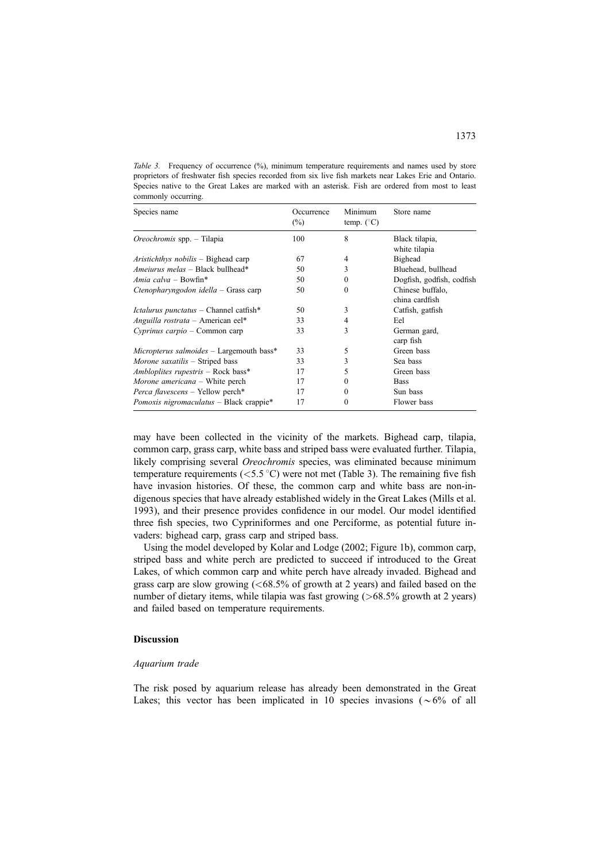Table 3. Frequency of occurrence (%), minimum temperature requirements and names used by store proprietors of freshwater fish species recorded from six live fish markets near Lakes Erie and Ontario. Species native to the Great Lakes are marked with an asterisk. Fish are ordered from most to least commonly occurring.

| Species name                                  | Occurrence<br>$(\%)$ | Minimum<br>temp. $(^{\circ}C)$ | Store name                      |
|-----------------------------------------------|----------------------|--------------------------------|---------------------------------|
| <i>Oreochromis</i> spp. – Tilapia             | 100                  | 8                              | Black tilapia,<br>white tilapia |
| Aristichthys nobilis – Bighead carp           | 67                   | 4                              | <b>Bighead</b>                  |
| Ameiurus melas – Black bullhead*              | 50                   | 3                              | Bluehead, bullhead              |
| Amia calva – Bowfin*                          | 50                   | $\theta$                       | Dogfish, godfish, codfish       |
| Ctenopharyngodon idella $-$ Grass carp        | 50                   | $\Omega$                       | Chinese buffalo.                |
|                                               |                      |                                | china cardfish                  |
| <i>Ictalurus punctatus</i> – Channel catfish* | 50                   | 3                              | Catfish, gatfish                |
| Anguilla rostrata - American eel*             | 33                   | 4                              | Eel                             |
| $Cyprinus carpio - Common carp$               | 33                   | 3                              | German gard,<br>carp fish       |
| $Micropterus$ salmoides $-$ Largemouth bass*  | 33                   | 5                              | Green bass                      |
| <i>Morone saxatilis</i> – Striped bass        | 33                   | 3                              | Sea bass                        |
| Ambloplites rupestris - Rock bass*            | 17                   | 5                              | Green bass                      |
| Morone americana – White perch                | 17                   | $\theta$                       | <b>Bass</b>                     |
| <i>Perca flavescens</i> – Yellow perch*       | 17                   | $\Omega$                       | Sun bass                        |
| Pomoxis nigromaculatus - Black crappie*       | 17                   | $\theta$                       | Flower bass                     |

may have been collected in the vicinity of the markets. Bighead carp, tilapia, common carp, grass carp, white bass and striped bass were evaluated further. Tilapia, likely comprising several *Oreochromis* species, was eliminated because minimum temperature requirements ( $\langle 5.5 \,^{\circ}$ C) were not met (Table 3). The remaining five fish have invasion histories. Of these, the common carp and white bass are non-indigenous species that have already established widely in the Great Lakes (Mills et al. 1993), and their presence provides confidence in our model. Our model identified three fish species, two Cypriniformes and one Perciforme, as potential future invaders: bighead carp, grass carp and striped bass.

Using the model developed by Kolar and Lodge (2002; Figure 1b), common carp, striped bass and white perch are predicted to succeed if introduced to the Great Lakes, of which common carp and white perch have already invaded. Bighead and grass carp are slow growing  $\overline{(<}68.5\%$  of growth at 2 years) and failed based on the number of dietary items, while tilapia was fast growing  $(>\,68.5\%$  growth at 2 years) and failed based on temperature requirements.

## Discussion

#### Aquarium trade

The risk posed by aquarium release has already been demonstrated in the Great Lakes; this vector has been implicated in 10 species invasions ( $\sim 6\%$  of all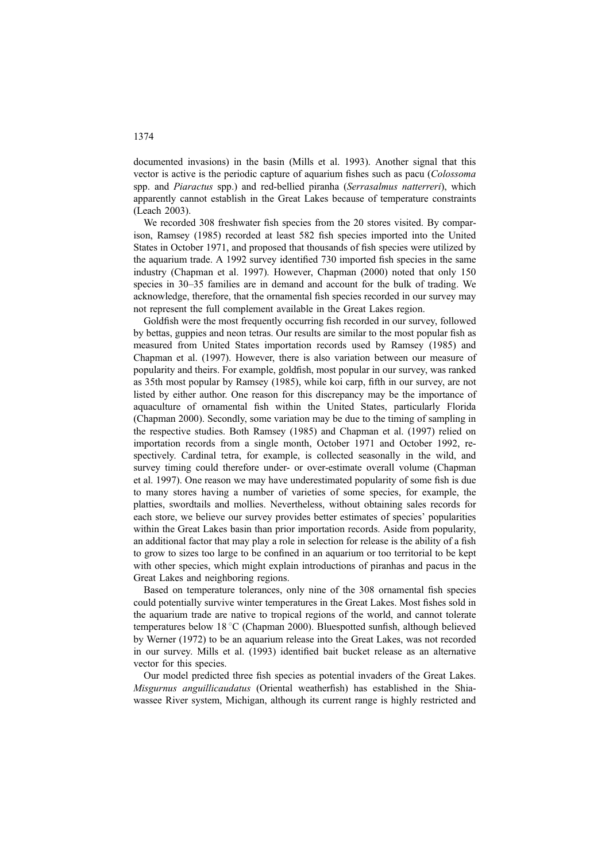documented invasions) in the basin (Mills et al. 1993). Another signal that this vector is active is the periodic capture of aquarium fishes such as pacu (Colossoma spp. and Piaractus spp.) and red-bellied piranha (Serrasalmus natterreri), which apparently cannot establish in the Great Lakes because of temperature constraints (Leach 2003).

We recorded 308 freshwater fish species from the 20 stores visited. By comparison, Ramsey (1985) recorded at least 582 fish species imported into the United States in October 1971, and proposed that thousands of fish species were utilized by the aquarium trade. A 1992 survey identified 730 imported fish species in the same industry (Chapman et al. 1997). However, Chapman (2000) noted that only 150 species in 30–35 families are in demand and account for the bulk of trading. We acknowledge, therefore, that the ornamental fish species recorded in our survey may not represent the full complement available in the Great Lakes region.

Goldfish were the most frequently occurring fish recorded in our survey, followed by bettas, guppies and neon tetras. Our results are similar to the most popular fish as measured from United States importation records used by Ramsey (1985) and Chapman et al. (1997). However, there is also variation between our measure of popularity and theirs. For example, goldfish, most popular in our survey, was ranked as 35th most popular by Ramsey (1985), while koi carp, fifth in our survey, are not listed by either author. One reason for this discrepancy may be the importance of aquaculture of ornamental fish within the United States, particularly Florida (Chapman 2000). Secondly, some variation may be due to the timing of sampling in the respective studies. Both Ramsey (1985) and Chapman et al. (1997) relied on importation records from a single month, October 1971 and October 1992, respectively. Cardinal tetra, for example, is collected seasonally in the wild, and survey timing could therefore under- or over-estimate overall volume (Chapman et al. 1997). One reason we may have underestimated popularity of some fish is due to many stores having a number of varieties of some species, for example, the platties, swordtails and mollies. Nevertheless, without obtaining sales records for each store, we believe our survey provides better estimates of species' popularities within the Great Lakes basin than prior importation records. Aside from popularity, an additional factor that may play a role in selection for release is the ability of a fish to grow to sizes too large to be confined in an aquarium or too territorial to be kept with other species, which might explain introductions of piranhas and pacus in the Great Lakes and neighboring regions.

Based on temperature tolerances, only nine of the 308 ornamental fish species could potentially survive winter temperatures in the Great Lakes. Most fishes sold in the aquarium trade are native to tropical regions of the world, and cannot tolerate temperatures below  $18 \degree C$  (Chapman 2000). Bluespotted sunfish, although believed by Werner (1972) to be an aquarium release into the Great Lakes, was not recorded in our survey. Mills et al. (1993) identified bait bucket release as an alternative vector for this species.

Our model predicted three fish species as potential invaders of the Great Lakes. Misgurnus anguillicaudatus (Oriental weatherfish) has established in the Shiawassee River system, Michigan, although its current range is highly restricted and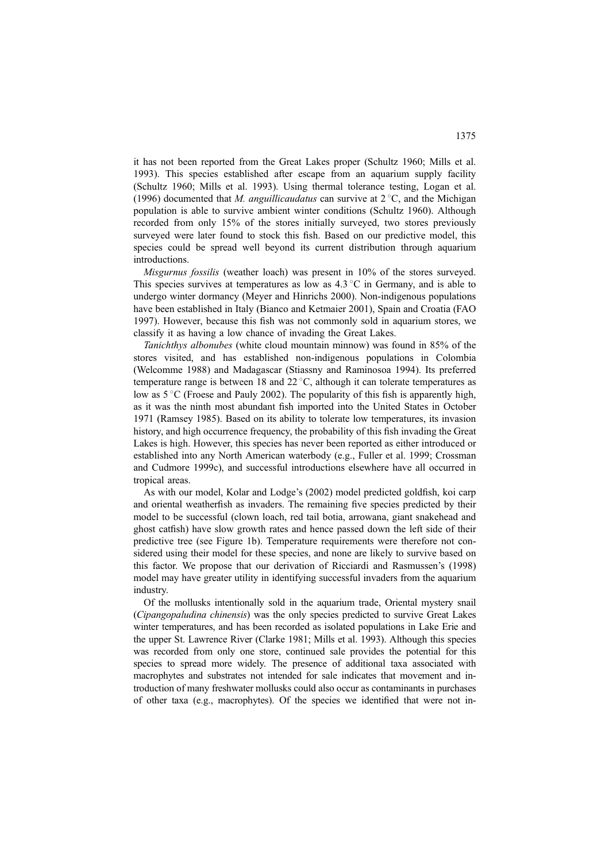it has not been reported from the Great Lakes proper (Schultz 1960; Mills et al. 1993). This species established after escape from an aquarium supply facility (Schultz 1960; Mills et al. 1993). Using thermal tolerance testing, Logan et al. (1996) documented that M. anguillicaudatus can survive at  $2^{\circ}$ C, and the Michigan population is able to survive ambient winter conditions (Schultz 1960). Although recorded from only 15% of the stores initially surveyed, two stores previously surveyed were later found to stock this fish. Based on our predictive model, this species could be spread well beyond its current distribution through aquarium introductions.

Misgurnus fossilis (weather loach) was present in 10% of the stores surveyed. This species survives at temperatures as low as  $4.3\textdegree C$  in Germany, and is able to undergo winter dormancy (Meyer and Hinrichs 2000). Non-indigenous populations have been established in Italy (Bianco and Ketmaier 2001), Spain and Croatia (FAO 1997). However, because this fish was not commonly sold in aquarium stores, we classify it as having a low chance of invading the Great Lakes.

Tanichthys albonubes (white cloud mountain minnow) was found in 85% of the stores visited, and has established non-indigenous populations in Colombia (Welcomme 1988) and Madagascar (Stiassny and Raminosoa 1994). Its preferred temperature range is between 18 and 22  $\degree$ C, although it can tolerate temperatures as low as  $5^{\circ}$ C (Froese and Pauly 2002). The popularity of this fish is apparently high, as it was the ninth most abundant fish imported into the United States in October 1971 (Ramsey 1985). Based on its ability to tolerate low temperatures, its invasion history, and high occurrence frequency, the probability of this fish invading the Great Lakes is high. However, this species has never been reported as either introduced or established into any North American waterbody (e.g., Fuller et al. 1999; Crossman and Cudmore 1999c), and successful introductions elsewhere have all occurred in tropical areas.

As with our model, Kolar and Lodge's (2002) model predicted goldfish, koi carp and oriental weatherfish as invaders. The remaining five species predicted by their model to be successful (clown loach, red tail botia, arrowana, giant snakehead and ghost catfish) have slow growth rates and hence passed down the left side of their predictive tree (see Figure 1b). Temperature requirements were therefore not considered using their model for these species, and none are likely to survive based on this factor. We propose that our derivation of Ricciardi and Rasmussen's (1998) model may have greater utility in identifying successful invaders from the aquarium industry.

Of the mollusks intentionally sold in the aquarium trade, Oriental mystery snail (Cipangopaludina chinensis) was the only species predicted to survive Great Lakes winter temperatures, and has been recorded as isolated populations in Lake Erie and the upper St. Lawrence River (Clarke 1981; Mills et al. 1993). Although this species was recorded from only one store, continued sale provides the potential for this species to spread more widely. The presence of additional taxa associated with macrophytes and substrates not intended for sale indicates that movement and introduction of many freshwater mollusks could also occur as contaminants in purchases of other taxa (e.g., macrophytes). Of the species we identified that were not in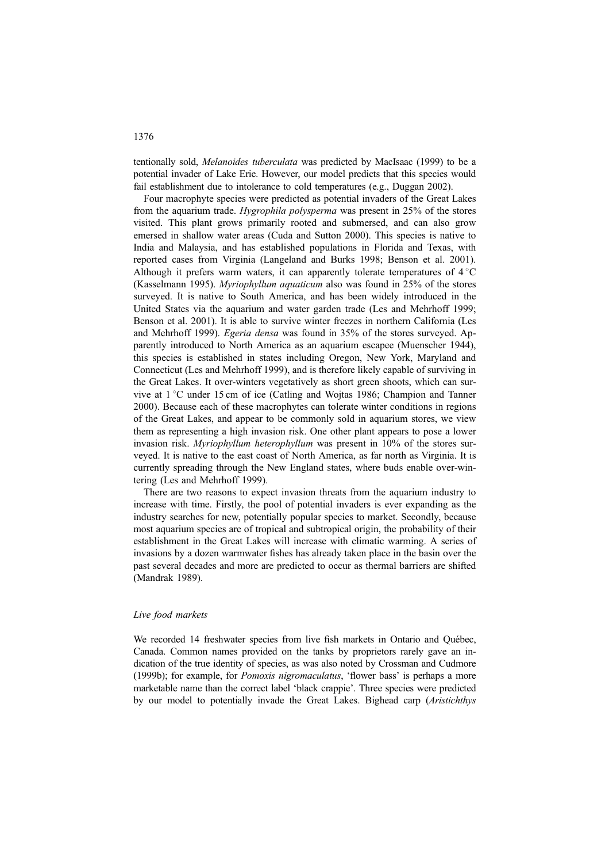tentionally sold, Melanoides tuberculata was predicted by MacIsaac (1999) to be a potential invader of Lake Erie. However, our model predicts that this species would fail establishment due to intolerance to cold temperatures (e.g., Duggan 2002).

Four macrophyte species were predicted as potential invaders of the Great Lakes from the aquarium trade. *Hygrophila polysperma* was present in 25% of the stores visited. This plant grows primarily rooted and submersed, and can also grow emersed in shallow water areas (Cuda and Sutton 2000). This species is native to India and Malaysia, and has established populations in Florida and Texas, with reported cases from Virginia (Langeland and Burks 1998; Benson et al. 2001). Although it prefers warm waters, it can apparently tolerate temperatures of  $4^{\circ}C$ (Kasselmann 1995). Myriophyllum aquaticum also was found in 25% of the stores surveyed. It is native to South America, and has been widely introduced in the United States via the aquarium and water garden trade (Les and Mehrhoff 1999; Benson et al. 2001). It is able to survive winter freezes in northern California (Les and Mehrhoff 1999). Egeria densa was found in 35% of the stores surveyed. Apparently introduced to North America as an aquarium escapee (Muenscher 1944), this species is established in states including Oregon, New York, Maryland and Connecticut (Les and Mehrhoff 1999), and is therefore likely capable of surviving in the Great Lakes. It over-winters vegetatively as short green shoots, which can survive at  $1^{\circ}$ C under 15 cm of ice (Catling and Wojtas 1986; Champion and Tanner 2000). Because each of these macrophytes can tolerate winter conditions in regions of the Great Lakes, and appear to be commonly sold in aquarium stores, we view them as representing a high invasion risk. One other plant appears to pose a lower invasion risk. Myriophyllum heterophyllum was present in 10% of the stores surveyed. It is native to the east coast of North America, as far north as Virginia. It is currently spreading through the New England states, where buds enable over-wintering (Les and Mehrhoff 1999).

There are two reasons to expect invasion threats from the aquarium industry to increase with time. Firstly, the pool of potential invaders is ever expanding as the industry searches for new, potentially popular species to market. Secondly, because most aquarium species are of tropical and subtropical origin, the probability of their establishment in the Great Lakes will increase with climatic warming. A series of invasions by a dozen warmwater fishes has already taken place in the basin over the past several decades and more are predicted to occur as thermal barriers are shifted (Mandrak 1989).

#### Live food markets

We recorded 14 freshwater species from live fish markets in Ontario and Québec, Canada. Common names provided on the tanks by proprietors rarely gave an indication of the true identity of species, as was also noted by Crossman and Cudmore (1999b); for example, for Pomoxis nigromaculatus, 'flower bass' is perhaps a more marketable name than the correct label 'black crappie'. Three species were predicted by our model to potentially invade the Great Lakes. Bighead carp (Aristichthys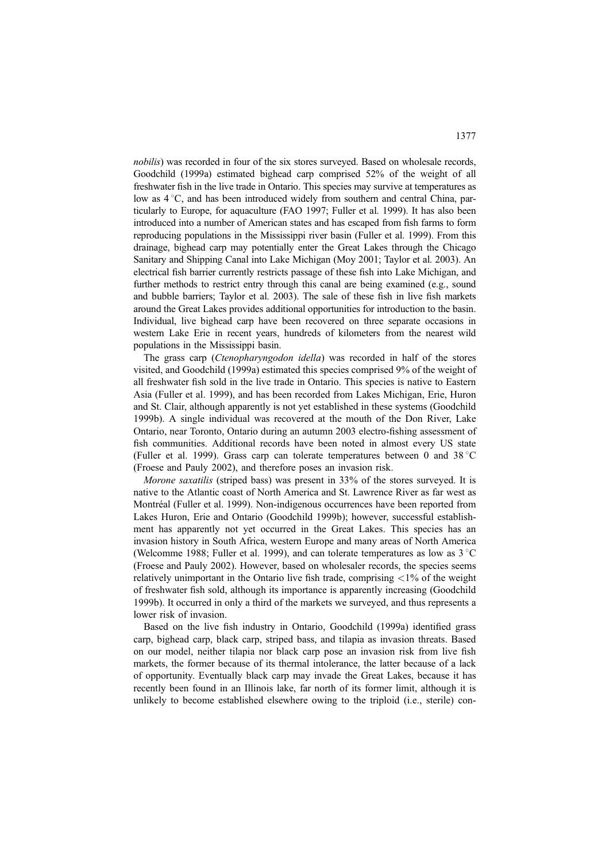nobilis) was recorded in four of the six stores surveyed. Based on wholesale records, Goodchild (1999a) estimated bighead carp comprised 52% of the weight of all freshwater fish in the live trade in Ontario. This species may survive at temperatures as low as  $4^{\circ}$ C, and has been introduced widely from southern and central China, particularly to Europe, for aquaculture (FAO 1997; Fuller et al. 1999). It has also been introduced into a number of American states and has escaped from fish farms to form reproducing populations in the Mississippi river basin (Fuller et al. 1999). From this drainage, bighead carp may potentially enter the Great Lakes through the Chicago Sanitary and Shipping Canal into Lake Michigan (Moy 2001; Taylor et al. 2003). An electrical fish barrier currently restricts passage of these fish into Lake Michigan, and further methods to restrict entry through this canal are being examined (e.g., sound and bubble barriers; Taylor et al. 2003). The sale of these fish in live fish markets around the Great Lakes provides additional opportunities for introduction to the basin. Individual, live bighead carp have been recovered on three separate occasions in western Lake Erie in recent years, hundreds of kilometers from the nearest wild populations in the Mississippi basin.

The grass carp (Ctenopharyngodon idella) was recorded in half of the stores visited, and Goodchild (1999a) estimated this species comprised 9% of the weight of all freshwater fish sold in the live trade in Ontario. This species is native to Eastern Asia (Fuller et al. 1999), and has been recorded from Lakes Michigan, Erie, Huron and St. Clair, although apparently is not yet established in these systems (Goodchild 1999b). A single individual was recovered at the mouth of the Don River, Lake Ontario, near Toronto, Ontario during an autumn 2003 electro-fishing assessment of fish communities. Additional records have been noted in almost every US state (Fuller et al. 1999). Grass carp can tolerate temperatures between 0 and 38  $^{\circ}$ C (Froese and Pauly 2002), and therefore poses an invasion risk.

Morone saxatilis (striped bass) was present in 33% of the stores surveyed. It is native to the Atlantic coast of North America and St. Lawrence River as far west as Montréal (Fuller et al. 1999). Non-indigenous occurrences have been reported from Lakes Huron, Erie and Ontario (Goodchild 1999b); however, successful establishment has apparently not yet occurred in the Great Lakes. This species has an invasion history in South Africa, western Europe and many areas of North America (Welcomme 1988; Fuller et al. 1999), and can tolerate temperatures as low as  $3^{\circ}$ C (Froese and Pauly 2002). However, based on wholesaler records, the species seems relatively unimportant in the Ontario live fish trade, comprising  $\langle 1\%$  of the weight of freshwater fish sold, although its importance is apparently increasing (Goodchild 1999b). It occurred in only a third of the markets we surveyed, and thus represents a lower risk of invasion.

Based on the live fish industry in Ontario, Goodchild (1999a) identified grass carp, bighead carp, black carp, striped bass, and tilapia as invasion threats. Based on our model, neither tilapia nor black carp pose an invasion risk from live fish markets, the former because of its thermal intolerance, the latter because of a lack of opportunity. Eventually black carp may invade the Great Lakes, because it has recently been found in an Illinois lake, far north of its former limit, although it is unlikely to become established elsewhere owing to the triploid (i.e., sterile) con-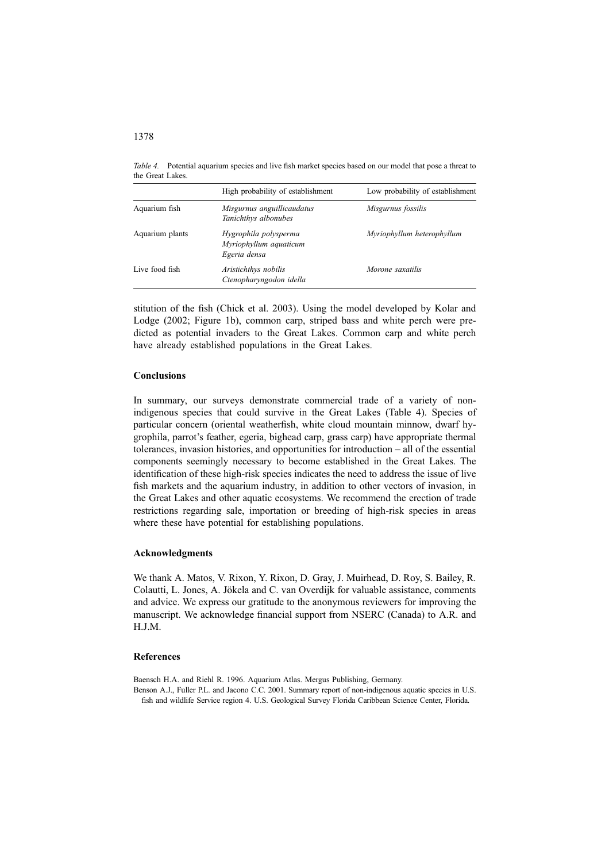Table 4. Potential aquarium species and live fish market species based on our model that pose a threat to the Great Lakes.

|                 | High probability of establishment                               | Low probability of establishment |
|-----------------|-----------------------------------------------------------------|----------------------------------|
| Aquarium fish   | Misgurnus anguillicaudatus<br>Tanichthys albonubes              | Misgurnus fossilis               |
| Aquarium plants | Hygrophila polysperma<br>Myriophyllum aquaticum<br>Egeria densa | Myriophyllum heterophyllum       |
| Live food fish  | Aristichthys nobilis<br>Ctenopharyngodon idella                 | Morone saxatilis                 |

stitution of the fish (Chick et al. 2003). Using the model developed by Kolar and Lodge (2002; Figure 1b), common carp, striped bass and white perch were predicted as potential invaders to the Great Lakes. Common carp and white perch have already established populations in the Great Lakes.

# **Conclusions**

In summary, our surveys demonstrate commercial trade of a variety of nonindigenous species that could survive in the Great Lakes (Table 4). Species of particular concern (oriental weatherfish, white cloud mountain minnow, dwarf hygrophila, parrot's feather, egeria, bighead carp, grass carp) have appropriate thermal tolerances, invasion histories, and opportunities for introduction – all of the essential components seemingly necessary to become established in the Great Lakes. The identification of these high-risk species indicates the need to address the issue of live fish markets and the aquarium industry, in addition to other vectors of invasion, in the Great Lakes and other aquatic ecosystems. We recommend the erection of trade restrictions regarding sale, importation or breeding of high-risk species in areas where these have potential for establishing populations.

# Acknowledgments

We thank A. Matos, V. Rixon, Y. Rixon, D. Gray, J. Muirhead, D. Roy, S. Bailey, R. Colautti, L. Jones, A. Jökela and C. van Overdijk for valuable assistance, comments and advice. We express our gratitude to the anonymous reviewers for improving the manuscript. We acknowledge financial support from NSERC (Canada) to A.R. and H.J.M.

# References

Baensch H.A. and Riehl R. 1996. Aquarium Atlas. Mergus Publishing, Germany.

Benson A.J., Fuller P.L. and Jacono C.C. 2001. Summary report of non-indigenous aquatic species in U.S. fish and wildlife Service region 4. U.S. Geological Survey Florida Caribbean Science Center, Florida.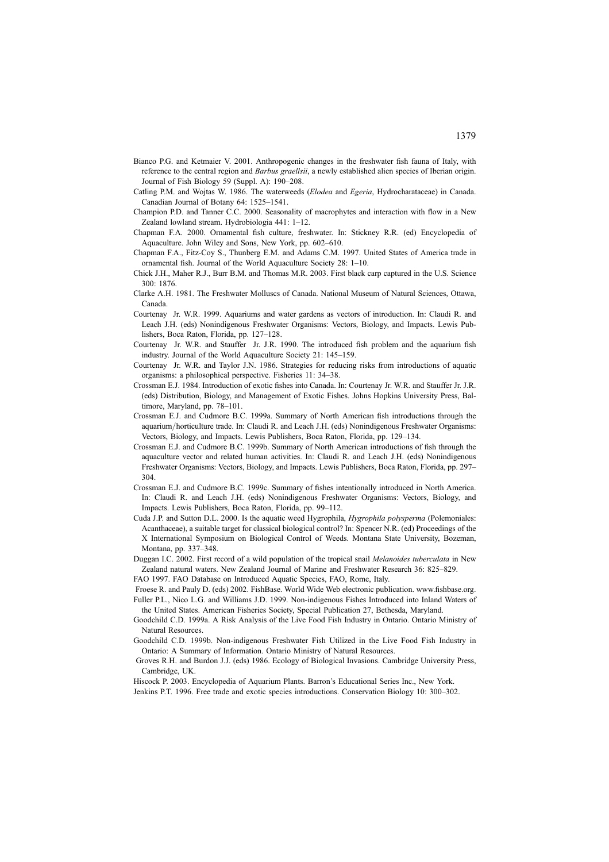- Bianco P.G. and Ketmaier V. 2001. Anthropogenic changes in the freshwater fish fauna of Italy, with reference to the central region and Barbus graellsii, a newly established alien species of Iberian origin. Journal of Fish Biology 59 (Suppl. A): 190–208.
- Catling P.M. and Wojtas W. 1986. The waterweeds (Elodea and Egeria, Hydrocharataceae) in Canada. Canadian Journal of Botany 64: 1525–1541.
- Champion P.D. and Tanner C.C. 2000. Seasonality of macrophytes and interaction with flow in a New Zealand lowland stream. Hydrobiologia 441: 1–12.
- Chapman F.A. 2000. Ornamental fish culture, freshwater. In: Stickney R.R. (ed) Encyclopedia of Aquaculture. John Wiley and Sons, New York, pp. 602–610.
- Chapman F.A., Fitz-Coy S., Thunberg E.M. and Adams C.M. 1997. United States of America trade in ornamental fish. Journal of the World Aquaculture Society 28: 1–10.
- Chick J.H., Maher R.J., Burr B.M. and Thomas M.R. 2003. First black carp captured in the U.S. Science 300: 1876.
- Clarke A.H. 1981. The Freshwater Molluscs of Canada. National Museum of Natural Sciences, Ottawa, Canada.
- Courtenay Jr. W.R. 1999. Aquariums and water gardens as vectors of introduction. In: Claudi R. and Leach J.H. (eds) Nonindigenous Freshwater Organisms: Vectors, Biology, and Impacts. Lewis Publishers, Boca Raton, Florida, pp. 127–128.
- Courtenay Jr. W.R. and Stauffer Jr. J.R. 1990. The introduced fish problem and the aquarium fish industry. Journal of the World Aquaculture Society 21: 145–159.
- Courtenay Jr. W.R. and Taylor J.N. 1986. Strategies for reducing risks from introductions of aquatic organisms: a philosophical perspective. Fisheries 11: 34–38.
- Crossman E.J. 1984. Introduction of exotic fishes into Canada. In: Courtenay Jr. W.R. and Stauffer Jr. J.R. (eds) Distribution, Biology, and Management of Exotic Fishes. Johns Hopkins University Press, Baltimore, Maryland, pp. 78–101.
- Crossman E.J. and Cudmore B.C. 1999a. Summary of North American fish introductions through the aquarium/horticulture trade. In: Claudi R. and Leach J.H. (eds) Nonindigenous Freshwater Organisms: Vectors, Biology, and Impacts. Lewis Publishers, Boca Raton, Florida, pp. 129–134.
- Crossman E.J. and Cudmore B.C. 1999b. Summary of North American introductions of fish through the aquaculture vector and related human activities. In: Claudi R. and Leach J.H. (eds) Nonindigenous Freshwater Organisms: Vectors, Biology, and Impacts. Lewis Publishers, Boca Raton, Florida, pp. 297– 304.
- Crossman E.J. and Cudmore B.C. 1999c. Summary of fishes intentionally introduced in North America. In: Claudi R. and Leach J.H. (eds) Nonindigenous Freshwater Organisms: Vectors, Biology, and Impacts. Lewis Publishers, Boca Raton, Florida, pp. 99–112.
- Cuda J.P. and Sutton D.L. 2000. Is the aquatic weed Hygrophila, Hygrophila polysperma (Polemoniales: Acanthaceae), a suitable target for classical biological control? In: Spencer N.R. (ed) Proceedings of the X International Symposium on Biological Control of Weeds. Montana State University, Bozeman, Montana, pp. 337–348.
- Duggan I.C. 2002. First record of a wild population of the tropical snail Melanoides tuberculata in New Zealand natural waters. New Zealand Journal of Marine and Freshwater Research 36: 825–829.
- FAO 1997. FAO Database on Introduced Aquatic Species, FAO, Rome, Italy.
- Froese R. and Pauly D. (eds) 2002. FishBase. World Wide Web electronic publication. www.fishbase.org. Fuller P.L., Nico L.G. and Williams J.D. 1999. Non-indigenous Fishes Introduced into Inland Waters of the United States. American Fisheries Society, Special Publication 27, Bethesda, Maryland.
- Goodchild C.D. 1999a. A Risk Analysis of the Live Food Fish Industry in Ontario. Ontario Ministry of Natural Resources.
- Goodchild C.D. 1999b. Non-indigenous Freshwater Fish Utilized in the Live Food Fish Industry in Ontario: A Summary of Information. Ontario Ministry of Natural Resources.
- Groves R.H. and Burdon J.J. (eds) 1986. Ecology of Biological Invasions. Cambridge University Press, Cambridge, UK.
- Hiscock P. 2003. Encyclopedia of Aquarium Plants. Barron's Educational Series Inc., New York.
- Jenkins P.T. 1996. Free trade and exotic species introductions. Conservation Biology 10: 300–302.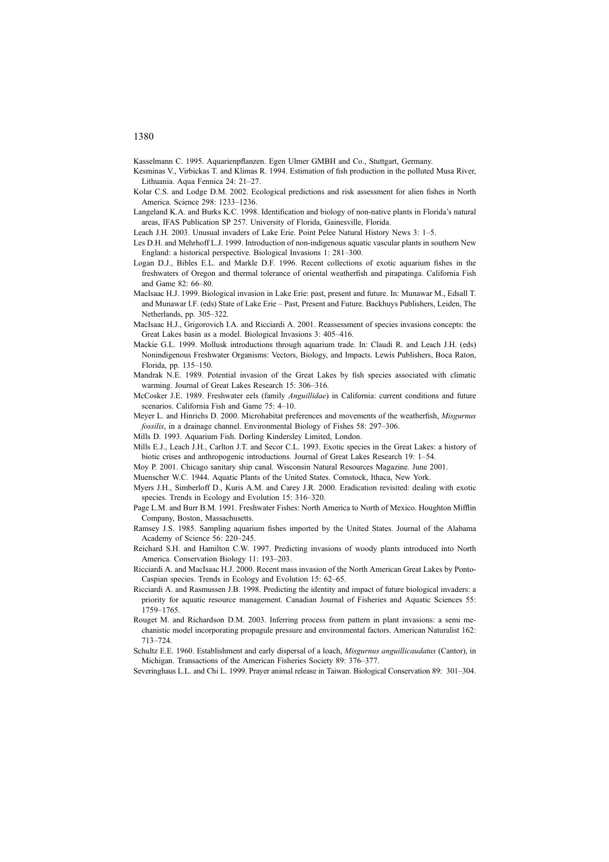Kasselmann C. 1995. Aquarienpflanzen. Egen Ulmer GMBH and Co., Stuttgart, Germany.

- Kesminas V., Virbickas T. and Klimas R. 1994. Estimation of fish production in the polluted Musa River, Lithuania. Aqua Fennica 24: 21–27.
- Kolar C.S. and Lodge D.M. 2002. Ecological predictions and risk assessment for alien fishes in North America. Science 298: 1233–1236.
- Langeland K.A. and Burks K.C. 1998. Identification and biology of non-native plants in Florida's natural areas, IFAS Publication SP 257. University of Florida, Gainesville, Florida.
- Leach J.H. 2003. Unusual invaders of Lake Erie. Point Pelee Natural History News 3: 1–5.
- Les D.H. and Mehrhoff L.J. 1999. Introduction of non-indigenous aquatic vascular plants in southern New England: a historical perspective. Biological Invasions 1: 281–300.
- Logan D.J., Bibles E.L. and Markle D.F. 1996. Recent collections of exotic aquarium fishes in the freshwaters of Oregon and thermal tolerance of oriental weatherfish and pirapatinga. California Fish and Game 82: 66–80.
- MacIsaac H.J. 1999. Biological invasion in Lake Erie: past, present and future. In: Munawar M., Edsall T. and Munawar I.F. (eds) State of Lake Erie – Past, Present and Future. Backhuys Publishers, Leiden, The Netherlands, pp. 305–322.
- MacIsaac H.J., Grigorovich I.A. and Ricciardi A. 2001. Reassessment of species invasions concepts: the Great Lakes basin as a model. Biological Invasions 3: 405–416.
- Mackie G.L. 1999. Mollusk introductions through aquarium trade. In: Claudi R. and Leach J.H. (eds) Nonindigenous Freshwater Organisms: Vectors, Biology, and Impacts. Lewis Publishers, Boca Raton, Florida, pp. 135–150.
- Mandrak N.E. 1989. Potential invasion of the Great Lakes by fish species associated with climatic warming. Journal of Great Lakes Research 15: 306–316.
- McCosker J.E. 1989. Freshwater eels (family Anguillidae) in California: current conditions and future scenarios. California Fish and Game 75: 4–10.
- Meyer L. and Hinrichs D. 2000. Microhabitat preferences and movements of the weatherfish, Misgurnus fossilis, in a drainage channel. Environmental Biology of Fishes 58: 297–306.
- Mills D. 1993. Aquarium Fish. Dorling Kindersley Limited, London.
- Mills E.J., Leach J.H., Carlton J.T. and Secor C.L. 1993. Exotic species in the Great Lakes: a history of biotic crises and anthropogenic introductions. Journal of Great Lakes Research 19: 1–54.
- Moy P. 2001. Chicago sanitary ship canal. Wisconsin Natural Resources Magazine. June 2001.
- Muenscher W.C. 1944. Aquatic Plants of the United States. Comstock, Ithaca, New York.
- Myers J.H., Simberloff D., Kuris A.M. and Carey J.R. 2000. Eradication revisited: dealing with exotic species. Trends in Ecology and Evolution 15: 316–320.
- Page L.M. and Burr B.M. 1991. Freshwater Fishes: North America to North of Mexico. Houghton Mifflin Company, Boston, Massachusetts.
- Ramsey J.S. 1985. Sampling aquarium fishes imported by the United States. Journal of the Alabama Academy of Science 56: 220–245.
- Reichard S.H. and Hamilton C.W. 1997. Predicting invasions of woody plants introduced into North America. Conservation Biology 11: 193–203.
- Ricciardi A. and MacIsaac H.J. 2000. Recent mass invasion of the North American Great Lakes by Ponto-Caspian species. Trends in Ecology and Evolution 15: 62–65.
- Ricciardi A. and Rasmussen J.B. 1998. Predicting the identity and impact of future biological invaders: a priority for aquatic resource management. Canadian Journal of Fisheries and Aquatic Sciences 55: 1759–1765.
- Rouget M. and Richardson D.M. 2003. Inferring process from pattern in plant invasions: a semi mechanistic model incorporating propagule pressure and environmental factors. American Naturalist 162: 713–724.
- Schultz E.E. 1960. Establishment and early dispersal of a loach, Misgurnus anguillicaudatus (Cantor), in Michigan. Transactions of the American Fisheries Society 89: 376–377.
- Severinghaus L.L. and Chi L. 1999. Prayer animal release in Taiwan. Biological Conservation 89: 301–304.